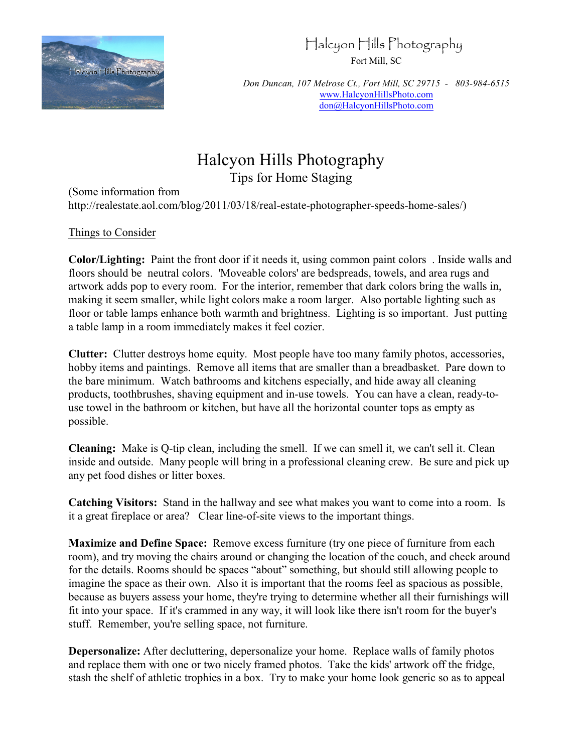

# Halcyon Hills Photography

Fort Mill, SC

*Don Duncan, 107 Melrose Ct., Fort Mill, SC 29715 - 803-984-6515* [www.HalcyonHillsPhoto.com](http://www.HalcyonHillsPhoto.com) [don@HalcyonHillsPhoto.com](mailto:don@HalcyonHillsPhoto.com)

# Halcyon Hills Photography Tips for Home Staging

(Some information from http://realestate.aol.com/blog/2011/03/18/real-estate-photographer-speeds-home-sales/)

## Things to Consider

**Color/Lighting:** Paint the front door if it needs it, using common paint colors . Inside walls and floors should be neutral colors. 'Moveable colors' are bedspreads, towels, and area rugs and artwork adds pop to every room. For the interior, remember that dark colors bring the walls in, making it seem smaller, while light colors make a room larger. Also portable lighting such as floor or table lamps enhance both warmth and brightness. Lighting is so important. Just putting a table lamp in a room immediately makes it feel cozier.

**Clutter:** Clutter destroys home equity. Most people have too many family photos, accessories, hobby items and paintings. Remove all items that are smaller than a breadbasket. Pare down to the bare minimum. Watch bathrooms and kitchens especially, and hide away all cleaning products, toothbrushes, shaving equipment and in-use towels. You can have a clean, ready-touse towel in the bathroom or kitchen, but have all the horizontal counter tops as empty as possible.

**Cleaning:** Make is Q-tip clean, including the smell. If we can smell it, we can't sell it. Clean inside and outside. Many people will bring in a professional cleaning crew. Be sure and pick up any pet food dishes or litter boxes.

**Catching Visitors:** Stand in the hallway and see what makes you want to come into a room. Is it a great fireplace or area? Clear line-of-site views to the important things.

**Maximize and Define Space:** Remove excess furniture (try one piece of furniture from each room), and try moving the chairs around or changing the location of the couch, and check around for the details. Rooms should be spaces "about" something, but should still allowing people to imagine the space as their own. Also it is important that the rooms feel as spacious as possible, because as buyers assess your home, they're trying to determine whether all their furnishings will fit into your space. If it's crammed in any way, it will look like there isn't room for the buyer's stuff. Remember, you're selling space, not furniture.

**Depersonalize:** After decluttering, depersonalize your home. Replace walls of family photos and replace them with one or two nicely framed photos. Take the kids' artwork off the fridge, stash the shelf of athletic trophies in a box. Try to make your home look generic so as to appeal